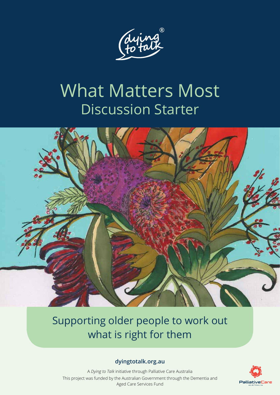

# What Matters Most Discussion Starter



### Supporting older people to work out what is right for them

#### **dyingtotalk.org.au**

A *Dying to Talk* initiative through Palliative Care Australia This project was funded by the Australian Government through the Dementia and Aged Care Services Fund

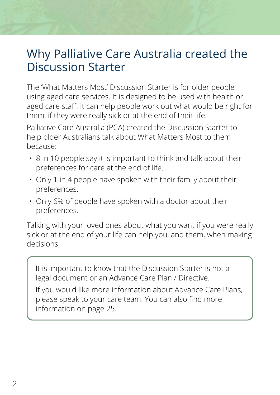## Why Palliative Care Australia created the Discussion Starter

The 'What Matters Most' Discussion Starter is for older people using aged care services. It is designed to be used with health or aged care staff. It can help people work out what would be right for them, if they were really sick or at the end of their life.

Palliative Care Australia (PCA) created the Discussion Starter to help older Australians talk about What Matters Most to them because:

- 8 in 10 people say it is important to think and talk about their preferences for care at the end of life.
- Only 1 in 4 people have spoken with their family about their preferences.
- Only 6% of people have spoken with a doctor about their preferences.

Talking with your loved ones about what you want if you were really sick or at the end of your life can help you, and them, when making decisions.

It is important to know that the Discussion Starter is not a legal document or an Advance Care Plan / Directive.

If you would like more information about Advance Care Plans, please speak to your care team. You can also find more information on page 25.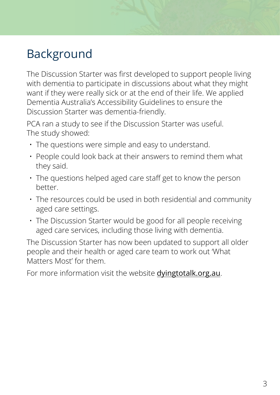# Background

The Discussion Starter was first developed to support people living with dementia to participate in discussions about what they might want if they were really sick or at the end of their life. We applied Dementia Australia's Accessibility Guidelines to ensure the Discussion Starter was dementia-friendly.

PCA ran a study to see if the Discussion Starter was useful. The study showed:

- The questions were simple and easy to understand.
- People could look back at their answers to remind them what they said.
- The questions helped aged care staff get to know the person better.
- The resources could be used in both residential and community aged care settings.
- The Discussion Starter would be good for all people receiving aged care services, including those living with dementia.

The Discussion Starter has now been updated to support all older people and their health or aged care team to work out 'What Matters Most' for them.

For more information visit the website [dyingtotalk.org.au](http://www.dyingtotalk.org.au).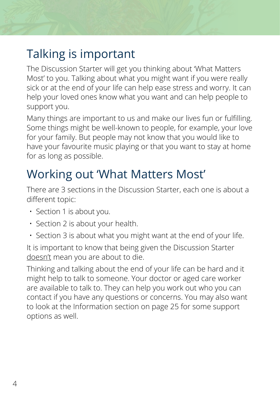## Talking is important

The Discussion Starter will get you thinking about 'What Matters Most' to you. Talking about what you might want if you were really sick or at the end of your life can help ease stress and worry. It can help your loved ones know what you want and can help people to support you.

Many things are important to us and make our lives fun or fulfilling. Some things might be well-known to people, for example, your love for your family. But people may not know that you would like to have your favourite music playing or that you want to stay at home for as long as possible.

## Working out 'What Matters Most'

There are 3 sections in the Discussion Starter, each one is about a different topic:

- Section 1 is about you.
- Section 2 is about your health.
- Section 3 is about what you might want at the end of your life.

It is important to know that being given the Discussion Starter doesn't mean you are about to die.

Thinking and talking about the end of your life can be hard and it might help to talk to someone. Your doctor or aged care worker are available to talk to. They can help you work out who you can contact if you have any questions or concerns. You may also want to look at the Information section on page 25 for some support options as well.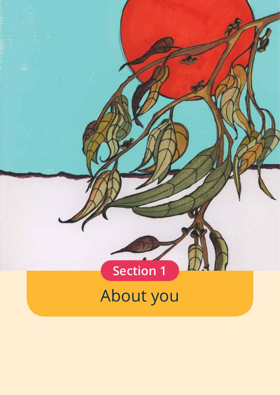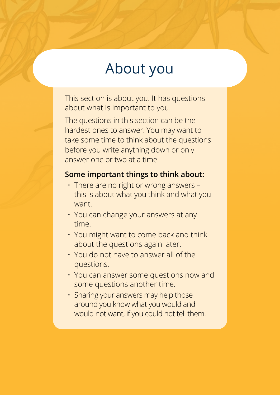# About you

This section is about you. It has questions about what is important to you.

The questions in this section can be the hardest ones to answer. You may want to take some time to think about the questions before you write anything down or only answer one or two at a time.

#### **Some important things to think about:**

- There are no right or wrong answers this is about what you think and what you want.
- You can change your answers at any time.
- You might want to come back and think about the questions again later.
- You do not have to answer all of the questions.
- You can answer some questions now and some questions another time.
- Sharing your answers may help those around you know what you would and would not want, if you could not tell them.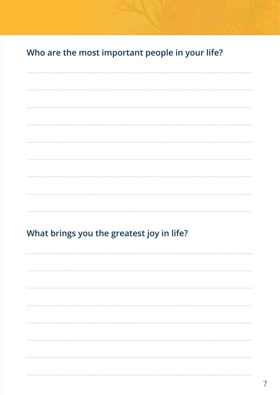Who are the most important people in your life?

#### What brings you the greatest joy in life?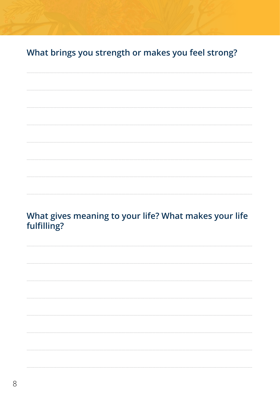What brings you strength or makes you feel strong?

#### What gives meaning to your life? What makes your life fulfilling?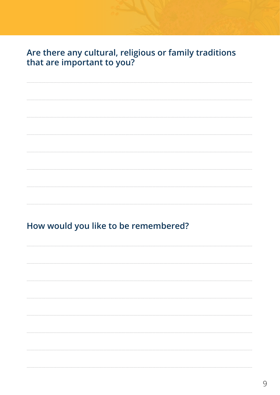#### Are there any cultural, religious or family traditions that are important to you?

#### How would you like to be remembered?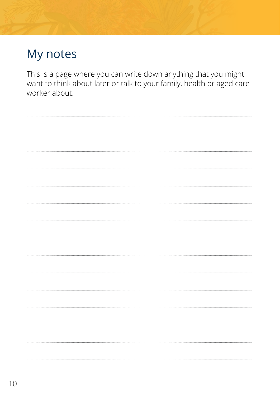## My notes

This is a page where you can write down anything that you might want to think about later or talk to your family, health or aged care worker about.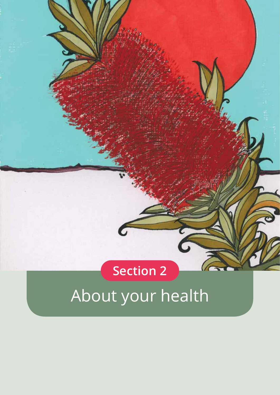# **Section 2**

# About your health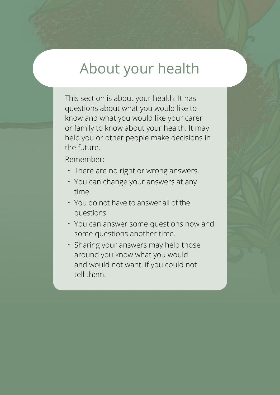# About your health

This section is about your health. It has questions about what you would like to know and what you would like your carer or family to know about your health. It may help you or other people make decisions in the future.

Remember:

- There are no right or wrong answers.
- You can change your answers at any time.
- You do not have to answer all of the questions.
- You can answer some questions now and some questions another time.
- Sharing your answers may help those around you know what you would and would not want, if you could not tell them.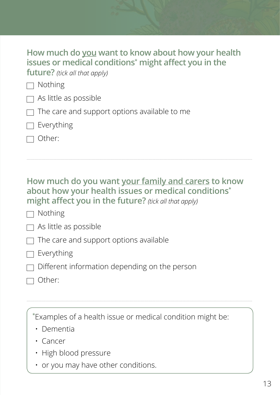| How much do you want to know about how your health                |
|-------------------------------------------------------------------|
| issues or medical conditions <sup>*</sup> might affect you in the |
| <b>future?</b> (tick all that apply)                              |

 $\Box$  Nothing

- $\Box$  As little as possible
- $\Box$  The care and support options available to me

 $\Box$  Everything

Other:

#### **How much do you want your family and carers to know about how your health issues or medical conditions\* might affect you in the future?** *(tick all that apply)*

................................................................................................................................................................................................................................

 $\Box$  Nothing

 $\Box$  As little as possible

 $\Box$  The care and support options available

#### $\Box$  Everything

Different information depending on the person

 $\Box$  Other:

 $\mid$   $\,$   $\!\!^*$ Examples of a health issue or medical condition might be:

................................................................................................................................................................................................................................

- Dementia
- Cancer
- High blood pressure
- or you may have other conditions.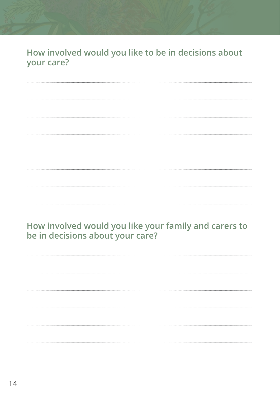How involved would you like to be in decisions about your care?

How involved would you like your family and carers to be in decisions about your care?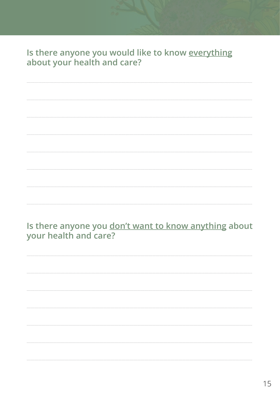# Is there anyone you would like to know everything<br>about your health and care?

Is there anyone you don't want to know anything about your health and care?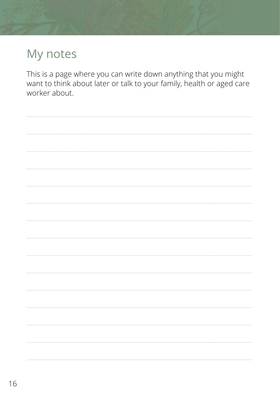## My notes

This is a page where you can write down anything that you might want to think about later or talk to your family, health or aged care worker about.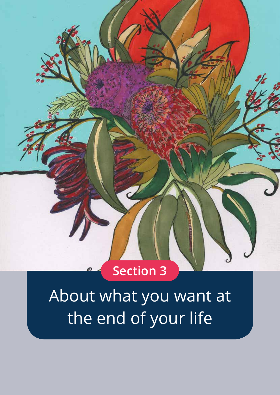

About what you want at the end of your life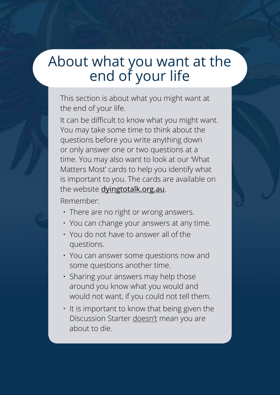# About what you want at the end of your life

This section is about what you might want at the end of your life.

It can be difficult to know what you might want. You may take some time to think about the questions before you write anything down or only answer one or two questions at a time. You may also want to look at our 'What Matters Most' cards to help you identify what is important to you. The cards are available on the website dyin[gtotalk.org.au](dyingtotalk.org.au).

Remember:

- There are no right or wrong answers.
- You can change your answers at any time.
- You do not have to answer all of the questions.
- You can answer some questions now and some questions another time.
- Sharing your answers may help those around you know what you would and would not want, if you could not tell them.
- It is important to know that being given the Discussion Starter doesn't mean you are about to die.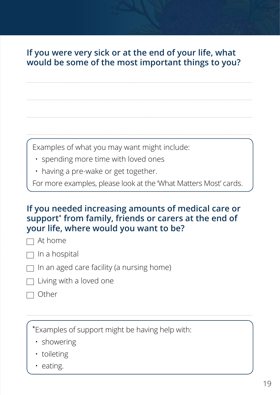#### If you were very sick or at the end of your life, what would be some of the most important things to you?

Examples of what you may want might include:

- · spending more time with loved ones
- · having a pre-wake or get together.

For more examples, please look at the 'What Matters Most' cards.

#### If you needed increasing amounts of medical care or support\* from family, friends or carers at the end of your life, where would you want to be?

 $\Box$  At home

- $\Box$  In a hospital
- $\Box$  In an aged care facility (a nursing home)
- $\Box$  Living with a loved one
- $\Box$  Other

\*Examples of support might be having help with:

- · showering
- · toileting
- eating.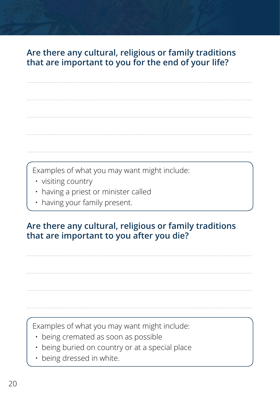#### Are there any cultural, religious or family traditions that are important to you for the end of your life?

Examples of what you may want might include:

- · visiting country
- having a priest or minister called
- · having your family present.

#### Are there any cultural, religious or family traditions that are important to you after you die?

Examples of what you may want might include:

- · being cremated as soon as possible
- being buried on country or at a special place
- · being dressed in white.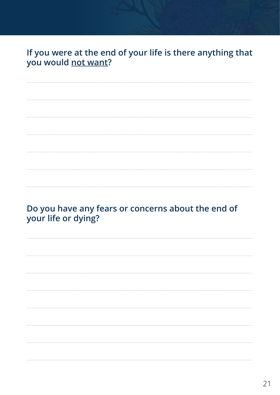#### If you were at the end of your life is there anything that you would not want?

Do you have any fears or concerns about the end of your life or dying?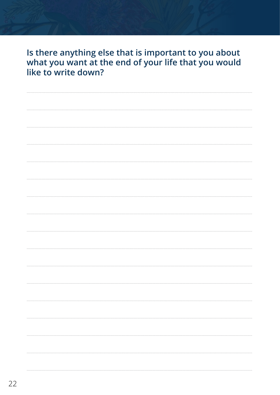Is there anything else that is important to you about what you want at the end of your life that you would like to write down?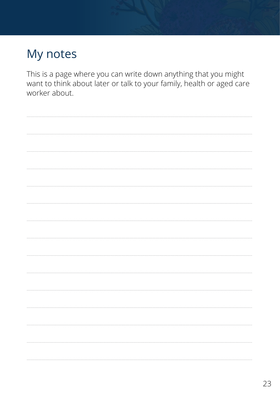## My notes

This is a page where you can write down anything that you might want to think about later or talk to your family, health or aged care worker about.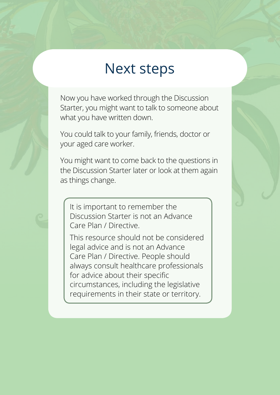# Next steps

Now you have worked through the Discussion Starter, you might want to talk to someone about what you have written down.

You could talk to your family, friends, doctor or your aged care worker.

You might want to come back to the questions in the Discussion Starter later or look at them again as things change.

It is important to remember the Discussion Starter is not an Advance Care Plan / Directive.

This resource should not be considered legal advice and is not an Advance Care Plan / Directive. People should always consult healthcare professionals for advice about their specific circumstances, including the legislative requirements in their state or territory.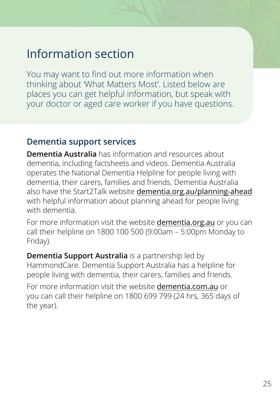## Information section

You may want to find out more information when thinking about 'What Matters Most'. Listed below are places you can get helpful information, but speak with your doctor or aged care worker if you have questions.

#### **Dementia support services**

**Dementia Australia** has information and resources about dementia, including factsheets and videos. Dementia Australia operates the National Dementia Helpline for people living with dementia, their carers, families and friends. Dementia Australia also have the Start2Talk website [dementia.org.au/planning-ahead](http://www.dementia.org.au/planning-ahead) with helpful information about planning ahead for people living with dementia.

For more information visit the website dementia.org.au or you can call their helpline on 1800 100 500 (9:00am – 5:00pm Monday to Friday).

**Dementia Support Australia** is a partnership led by HammondCare. Dementia Support Australia has a helpline for people living with dementia, their carers, families and friends.

For more information visit the website dementia.com.au or you can call their helpline on 1800 699 799 (24 hrs, 365 days of the year).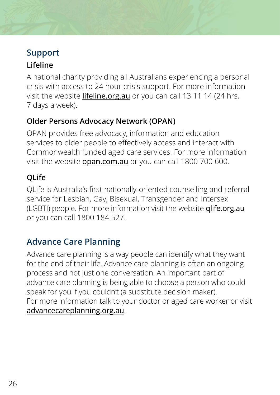#### **Support**

#### **Lifeline**

A national charity providing all Australians experiencing a personal crisis with access to 24 hour crisis support. For more information visit the website lifeline.org.au or you can call 13 11 14 (24 hrs, 7 days a week).

#### **Older Persons Advocacy Network (OPAN)**

OPAN provides free advocacy, information and education services to older people to effectively access and interact with Commonwealth funded aged care services. For more information visit the website [opan.com.au](http://www.opan.com.au) or you can call 1800 700 600.

#### **QLife**

QLife is Australia's first nationally-oriented counselling and referral service for Lesbian, Gay, Bisexual, Transgender and Intersex (LGBTI) people. For more information visit the website qlife.org.au or you can call 1800 184 527.

#### **Advance Care Planning**

Advance care planning is a way people can identify what they want for the end of their life. Advance care planning is often an ongoing process and not just one conversation. An important part of advance care planning is being able to choose a person who could speak for you if you couldn't (a substitute decision maker). For more information talk to your doctor or aged care worker or visit advancecareplanning.org.au.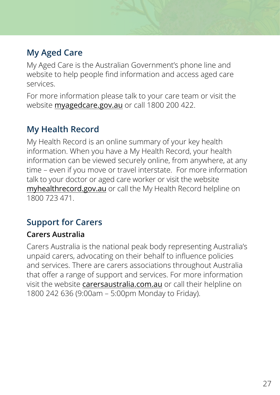#### **My Aged Care**

My Aged Care is the Australian Government's phone line and website to help people find information and access aged care services.

For more information please talk to your care team or visit the website myagedcare.gov.au or call 1800 200 422.

#### **My Health Record**

My Health Record is an online summary of your key health information. When you have a My Health Record, your health information can be viewed securely online, from anywhere, at any time – even if you move or travel interstate. For more information talk to your doctor or aged care worker or visit the website myhealthrecord.gov.au or call the My Health Record helpline on 1800 723 471.

#### **Support for Carers**

#### **Carers Australia**

Carers Australia is the national peak body representing Australia's unpaid carers, advocating on their behalf to influence policies and services. There are carers associations throughout Australia that offer a range of support and services. For more information visit the website carersaustralia.com.au or call their helpline on 1800 242 636 (9:00am – 5:00pm Monday to Friday).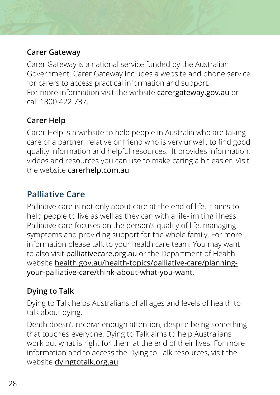#### **Carer Gateway**

Carer Gateway is a national service funded by the Australian Government. Carer Gateway includes a website and phone service for carers to access practical information and support. For more information visit the website **carergateway.gov.au** or call 1800 422 737.

#### **Carer Help**

Carer Help is a website to help people in Australia who are taking care of a partner, relative or friend who is very unwell, to find good quality information and helpful resources. It provides information, videos and resources you can use to make caring a bit easier. Visit the website [carerhelp.com.au](http://www.carerhelp.com.au).

#### **Palliative Care**

Palliative care is not only about care at the end of life. It aims to help people to live as well as they can with a life-limiting illness. Palliative care focuses on the person's quality of life, managing symptoms and providing support for the whole family. For more information please talk to your health care team. You may want to also visit palliativecare.org.au or the Department of Health website [health.gov.au/health-topics/palliative-care/planning](http://www.health.gov.au/health-topics/palliative-care/planning-your-palliative-care/think-about-what-you-want)[your-palliative-care/think-about-what-you-want](http://www.health.gov.au/health-topics/palliative-care/planning-your-palliative-care/think-about-what-you-want).

#### **Dying to Talk**

Dying to Talk helps Australians of all ages and levels of health to talk about dying.

Death doesn't receive enough attention, despite being something that touches everyone. Dying to Talk aims to help Australians work out what is right for them at the end of their lives. For more information and to access the Dying to Talk resources, visit the website [dyingtotalk.org.au](http://www.dyingtotalk.org.au).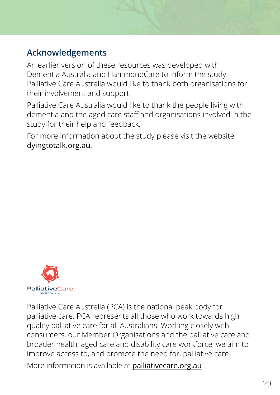#### **Acknowledgements**

An earlier version of these resources was developed with Dementia Australia and HammondCare to inform the study. Palliative Care Australia would like to thank both organisations for their involvement and support.

Palliative Care Australia would like to thank the people living with dementia and the aged care staff and organisations involved in the study for their help and feedback.

For more information about the study please visit the website [dyingtotalk.org.au](http://www.dyingtotalk.org.au).



Palliative Care Australia (PCA) is the national peak body for palliative care. PCA represents all those who work towards high quality palliative care for all Australians. Working closely with consumers, our Member Organisations and the palliative care and broader health, aged care and disability care workforce, we aim to improve access to, and promote the need for, palliative care.

More information is available at **[palliativecare.org.au](http://palliativecare.org.au)**